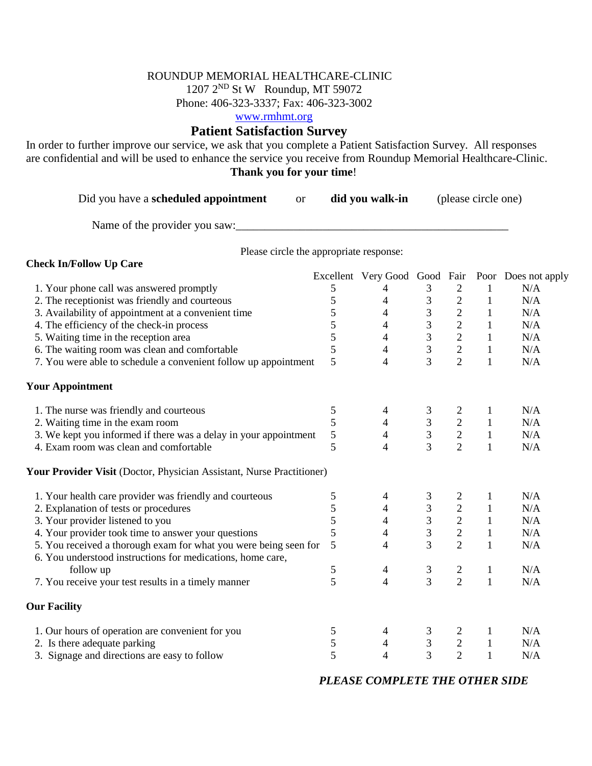## ROUNDUP MEMORIAL HEALTHCARE-CLINIC

1207 2ND St W Roundup, MT 59072

Phone: 406-323-3337; Fax: 406-323-3002

[www.rmhmt.org](http://www.rmhmt.org/)

## **Patient Satisfaction Survey**

In order to further improve our service, we ask that you complete a Patient Satisfaction Survey. All responses are confidential and will be used to enhance the service you receive from Roundup Memorial Healthcare-Clinic. **Thank you for your time**!

| Did you have a scheduled appointment |  | did you walk-in | (please circle one) |
|--------------------------------------|--|-----------------|---------------------|
|--------------------------------------|--|-----------------|---------------------|

Name of the provider you saw:\_\_\_\_\_\_\_\_\_\_\_\_\_\_\_\_\_\_\_\_\_\_\_\_\_\_\_\_\_\_\_\_\_\_\_\_\_\_\_\_\_\_\_\_\_\_\_

**Check In/Follow Up Care**

Please circle the appropriate response:

|                                                                       |               | Excellent Very Good Good Fair |                                            |                                                 |              | Poor Does not apply |
|-----------------------------------------------------------------------|---------------|-------------------------------|--------------------------------------------|-------------------------------------------------|--------------|---------------------|
| 1. Your phone call was answered promptly                              | 5             | 4                             | 3                                          | $\overline{2}$                                  |              | N/A                 |
| 2. The receptionist was friendly and courteous                        | 5             | 4                             | 3                                          | $\overline{c}$                                  | $\mathbf{1}$ | N/A                 |
| 3. Availability of appointment at a convenient time                   | 5             | $\overline{4}$                | 3                                          | $\frac{2}{2}$                                   | $\mathbf 1$  | N/A                 |
| 4. The efficiency of the check-in process                             | 5             | 4                             | $\overline{3}$                             |                                                 | $\mathbf{1}$ | N/A                 |
| 5. Waiting time in the reception area                                 | 5             | 4                             | $\overline{3}$                             | $\begin{array}{c} 2 \\ 2 \\ 2 \end{array}$      | $\mathbf{1}$ | N/A                 |
| 6. The waiting room was clean and comfortable                         | 5             | $\overline{4}$                | $\overline{3}$                             |                                                 | $\mathbf{1}$ | N/A                 |
| 7. You were able to schedule a convenient follow up appointment       | 5             | $\overline{4}$                | $\overline{3}$                             |                                                 | $\mathbf{1}$ | N/A                 |
| <b>Your Appointment</b>                                               |               |                               |                                            |                                                 |              |                     |
| 1. The nurse was friendly and courteous                               | 5             | 4                             | 3                                          |                                                 | $\mathbf{1}$ | N/A                 |
| 2. Waiting time in the exam room                                      | 5             | $\overline{4}$                | $\frac{3}{3}$                              | $\begin{array}{c} 2 \\ 2 \\ 2 \\ 2 \end{array}$ | $\mathbf{1}$ | N/A                 |
| 3. We kept you informed if there was a delay in your appointment      | 5             | $\overline{4}$                |                                            |                                                 | $\mathbf{1}$ | N/A                 |
| 4. Exam room was clean and comfortable                                | 5             | $\overline{4}$                | $\overline{3}$                             |                                                 | $\mathbf{1}$ | N/A                 |
| Your Provider Visit (Doctor, Physician Assistant, Nurse Practitioner) |               |                               |                                            |                                                 |              |                     |
| 1. Your health care provider was friendly and courteous               | 5             | $\overline{4}$                | 3                                          | $\overline{c}$                                  | $\mathbf{1}$ | N/A                 |
| 2. Explanation of tests or procedures                                 | 5             | $\overline{4}$                |                                            | $\begin{array}{c} 2 \\ 2 \\ 2 \end{array}$      | $\mathbf{1}$ | N/A                 |
| 3. Your provider listened to you                                      | 5             | 4                             | $\begin{array}{c} 3 \\ 3 \\ 3 \end{array}$ |                                                 | $\mathbf{1}$ | N/A                 |
| 4. Your provider took time to answer your questions                   | 5             | 4                             |                                            |                                                 | $\mathbf{1}$ | N/A                 |
| 5. You received a thorough exam for what you were being seen for      | 5             | $\overline{4}$                | 3                                          | $\overline{2}$                                  | $\mathbf{1}$ | N/A                 |
| 6. You understood instructions for medications, home care,            |               |                               |                                            |                                                 |              |                     |
| follow up                                                             | $\mathfrak s$ | $\overline{4}$                | $\mathfrak{Z}$                             | $\overline{c}$                                  | $\mathbf{1}$ | N/A                 |
| 7. You receive your test results in a timely manner                   | 5             | $\overline{4}$                | $\overline{3}$                             | $\overline{2}$                                  | $\mathbf{1}$ | N/A                 |
| <b>Our Facility</b>                                                   |               |                               |                                            |                                                 |              |                     |
| 1. Our hours of operation are convenient for you                      | 5             | 4                             | 3                                          | 2                                               | $\mathbf 1$  | N/A                 |
| 2. Is there adequate parking                                          | 5             | $\overline{4}$                | $\mathfrak{Z}$                             | $\frac{2}{2}$                                   | $\mathbf{1}$ | N/A                 |
| 3. Signage and directions are easy to follow                          | 5             | 4                             | 3                                          |                                                 | $\mathbf{1}$ | N/A                 |

*PLEASE COMPLETE THE OTHER SIDE*